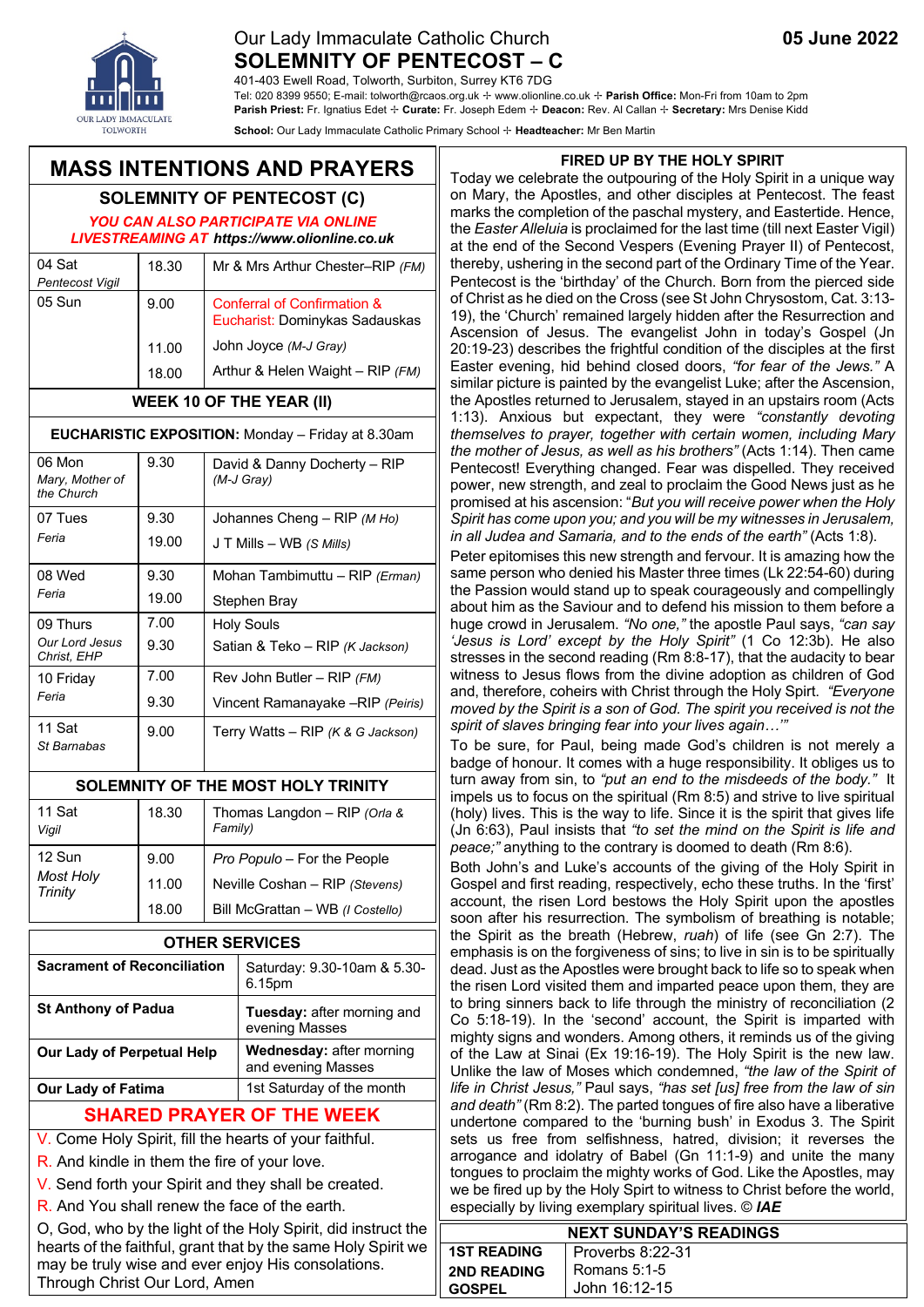### Our Lady Immaculate Catholic Church **05 June 2022 SOLEMNITY OF PENTECOST – C**

401-403 Ewell Road, Tolworth, Surbiton, Surrey KT6 7DG

Tel: 020 8399 9550; E-mail: tolworth@rcaos.org.uk ✢ www.olionline.co.uk ✢ **Parish Office:** Mon-Fri from 10am to 2pm **Parish Priest:** Fr. Ignatius Edet ✢ **Curate:** Fr. Joseph Edem ✢ **Deacon:** Rev. Al Callan ✢ **Secretary:** Mrs Denise Kidd

**School:** Our Lady Immaculate Catholic Primary School ✢ **Headteacher:** Mr Ben Martin

### **MASS INTENTIONS AND PRAYERS**

# **SOLEMNITY OF PENTECOST (C)**

*YOU CAN ALSO PARTICIPATE VIA ONLINE LIVESTREAMING AT https://www.olionline.co.uk*

| 04 Sat          | 18.30 | Mr & Mrs Arthur Chester-RIP (FM)                              |
|-----------------|-------|---------------------------------------------------------------|
| Pentecost Vigil |       |                                                               |
| 05 Sun          | 9.00  | Conferral of Confirmation &<br>Eucharist: Dominykas Sadauskas |
|                 | 11.00 | John Joyce (M-J Gray)                                         |
|                 | 18.00 | Arthur & Helen Waight - RIP (FM)                              |

### **WEEK 10 OF THE YEAR (II)**

#### **EUCHARISTIC EXPOSITION:** Monday – Friday at 8.30am

| 06 Mon<br>Mary, Mother of<br>the Church   | 9.30         | David & Danny Docherty - RIP<br>(M-J Gray)           |
|-------------------------------------------|--------------|------------------------------------------------------|
| 07 Tues                                   | 9.30         | Johannes Cheng - $RIP(MHO)$                          |
| Feria                                     | 19.00        | $J T$ Mills $-$ WB (S Mills)                         |
| 08 Wed                                    | 9.30         | Mohan Tambimuttu - RIP (Erman)                       |
| Feria                                     | 19.00        | Stephen Bray                                         |
| 09 Thurs<br>Our Lord Jesus<br>Christ, EHP | 7.00<br>9.30 | <b>Holy Souls</b><br>Satian & Teko - RIP (K Jackson) |
| 10 Friday                                 | 7.00         | Rev John Butler - $RIP$ (FM)                         |
| Feria                                     | 9.30         | Vincent Ramanayake -RIP (Peiris)                     |
| 11 Sat<br>St Barnabas                     | 9.00         | Terry Watts – RIP ( $K & G$ Jackson)                 |

#### **SOLEMNITY OF THE MOST HOLY TRINITY**

| 11 Sat<br>Vigil                    | 18.30 | Thomas Langdon - RIP (Orla &<br>Family) |
|------------------------------------|-------|-----------------------------------------|
| 12 Sun                             | 9.00  | Pro Populo - For the People             |
| <b>Most Holy</b><br><b>Trinity</b> | 11.00 | Neville Coshan - RIP (Stevens)          |
|                                    | 18.00 | Bill McGrattan - WB (I Costello)        |

| <b>OTHER SERVICES</b>              |                                                |  |
|------------------------------------|------------------------------------------------|--|
| <b>Sacrament of Reconciliation</b> | Saturday: 9.30-10am & 5.30-<br>6.15pm          |  |
| <b>St Anthony of Padua</b>         | Tuesday: after morning and<br>evening Masses   |  |
| Our Lady of Perpetual Help         | Wednesday: after morning<br>and evening Masses |  |
| <b>Our Lady of Fatima</b>          | 1st Saturday of the month                      |  |
| <b>SHARED PRAYER OF THE WEEK</b>   |                                                |  |

# V. Come Holy Spirit, fill the hearts of your faithful.

R. And kindle in them the fire of your love.

V. Send forth your Spirit and they shall be created.

R. And You shall renew the face of the earth.

O, God, who by the light of the Holy Spirit, did instruct the hearts of the faithful, grant that by the same Holy Spirit we may be truly wise and ever enjoy His consolations. Through Christ Our Lord, Amen

#### **FIRED UP BY THE HOLY SPIRIT**

Today we celebrate the outpouring of the Holy Spirit in a unique way on Mary, the Apostles, and other disciples at Pentecost. The feast marks the completion of the paschal mystery, and Eastertide. Hence, the *Easter Alleluia* is proclaimed for the last time (till next Easter Vigil) at the end of the Second Vespers (Evening Prayer II) of Pentecost, thereby, ushering in the second part of the Ordinary Time of the Year. Pentecost is the 'birthday' of the Church. Born from the pierced side of Christ as he died on the Cross (see St John Chrysostom, Cat. 3:13- 19), the 'Church' remained largely hidden after the Resurrection and Ascension of Jesus. The evangelist John in today's Gospel (Jn 20:19-23) describes the frightful condition of the disciples at the first Easter evening, hid behind closed doors, *"for fear of the Jews."* A similar picture is painted by the evangelist Luke; after the Ascension, the Apostles returned to Jerusalem, stayed in an upstairs room (Acts 1:13). Anxious but expectant, they were *"constantly devoting themselves to prayer, together with certain women, including Mary the mother of Jesus, as well as his brothers"* (Acts 1:14). Then came Pentecost! Everything changed. Fear was dispelled. They received power, new strength, and zeal to proclaim the Good News just as he promised at his ascension: "*But you will receive power when the Holy Spirit has come upon you; and you will be my witnesses in Jerusalem, in all Judea and Samaria, and to the ends of the earth"* (Acts 1:8).

Peter epitomises this new strength and fervour. It is amazing how the same person who denied his Master three times (Lk 22:54-60) during the Passion would stand up to speak courageously and compellingly about him as the Saviour and to defend his mission to them before a huge crowd in Jerusalem. *"No one,"* the apostle Paul says, *"can say 'Jesus is Lord' except by the Holy Spirit"* (1 Co 12:3b). He also stresses in the second reading (Rm 8:8-17), that the audacity to bear witness to Jesus flows from the divine adoption as children of God and, therefore, coheirs with Christ through the Holy Spirt. *"Everyone moved by the Spirit is a son of God. The spirit you received is not the spirit of slaves bringing fear into your lives again…'"*

To be sure, for Paul, being made God's children is not merely a badge of honour. It comes with a huge responsibility. It obliges us to turn away from sin, to *"put an end to the misdeeds of the body."* It impels us to focus on the spiritual (Rm 8:5) and strive to live spiritual (holy) lives. This is the way to life. Since it is the spirit that gives life (Jn 6:63), Paul insists that *"to set the mind on the Spirit is life and peace;"* anything to the contrary is doomed to death (Rm 8:6).

Both John's and Luke's accounts of the giving of the Holy Spirit in Gospel and first reading, respectively, echo these truths. In the 'first' account, the risen Lord bestows the Holy Spirit upon the apostles soon after his resurrection. The symbolism of breathing is notable; the Spirit as the breath (Hebrew, *ruah*) of life (see Gn 2:7). The emphasis is on the forgiveness of sins; to live in sin is to be spiritually dead. Just as the Apostles were brought back to life so to speak when the risen Lord visited them and imparted peace upon them, they are to bring sinners back to life through the ministry of reconciliation (2 Co 5:18-19). In the 'second' account, the Spirit is imparted with mighty signs and wonders. Among others, it reminds us of the giving of the Law at Sinai (Ex 19:16-19). The Holy Spirit is the new law. Unlike the law of Moses which condemned, *"the law of the Spirit of life in Christ Jesus,"* Paul says, *"has set [us] free from the law of sin and death"* (Rm 8:2). The parted tongues of fire also have a liberative undertone compared to the 'burning bush' in Exodus 3. The Spirit sets us free from selfishness, hatred, division; it reverses the arrogance and idolatry of Babel (Gn 11:1-9) and unite the many tongues to proclaim the mighty works of God. Like the Apostles, may we be fired up by the Holy Spirt to witness to Christ before the world, especially by living exemplary spiritual lives. © *IAE*

| <b>NEXT SUNDAY'S READINGS</b>          |               |  |  |  |
|----------------------------------------|---------------|--|--|--|
| <b>1ST READING</b><br>Proverbs 8:22-31 |               |  |  |  |
| <b>2ND READING</b>                     | Romans 5:1-5  |  |  |  |
| <b>GOSPEL</b>                          | John 16:12-15 |  |  |  |



eve